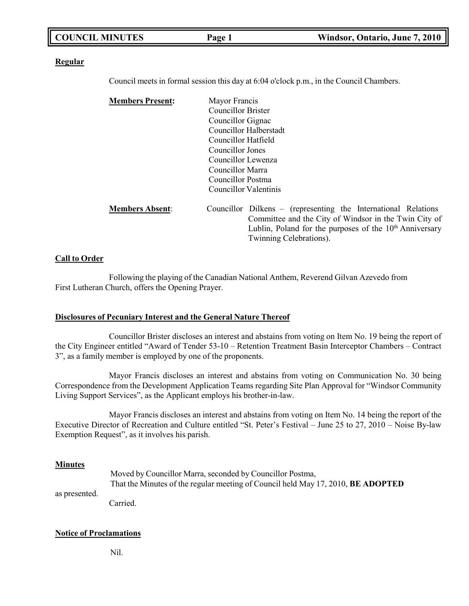| <b>COUNCIL MINUTES</b> | Page 1 | Windsor, Ontario, June 7, 2010 |
|------------------------|--------|--------------------------------|
|                        |        |                                |

#### **Regular**

Council meets in formal session this day at 6:04 o'clock p.m., in the Council Chambers.

| <b>Members Present:</b> | Mayor Francis<br>Councillor Brister<br>Councillor Gignac<br>Councillor Halberstadt<br>Councillor Hatfield<br>Councillor Jones<br>Councillor Lewenza<br>Councillor Marra<br>Councillor Postma<br>Councillor Valentinis     |
|-------------------------|---------------------------------------------------------------------------------------------------------------------------------------------------------------------------------------------------------------------------|
| <b>Members Absent:</b>  | Councillor Dilkens – (representing the International Relations<br>Committee and the City of Windsor in the Twin City of<br>Lublin, Poland for the purposes of the 10 <sup>th</sup> Anniversary<br>Twinning Celebrations). |

#### **Call to Order**

Following the playing of the Canadian National Anthem, Reverend Gilvan Azevedo from First Lutheran Church, offers the Opening Prayer.

#### **Disclosures of Pecuniary Interest and the General Nature Thereof**

Councillor Brister discloses an interest and abstains from voting on Item No. 19 being the report of the City Engineer entitled "Award of Tender 53-10 – Retention Treatment Basin Interceptor Chambers – Contract 3", as a family member is employed by one of the proponents.

Mayor Francis discloses an interest and abstains from voting on Communication No. 30 being Correspondence from the Development Application Teams regarding Site Plan Approval for "Windsor Community Living Support Services", as the Applicant employs his brother-in-law.

Mayor Francis discloses an interest and abstains from voting on Item No. 14 being the report of the Executive Director of Recreation and Culture entitled "St. Peter's Festival – June 25 to 27, 2010 – Noise By-law Exemption Request", as it involves his parish.

#### **Minutes**

as presented. Moved by Councillor Marra, seconded by Councillor Postma, That the Minutes of the regular meeting of Council held May 17, 2010, **BE ADOPTED**

Carried.

#### **Notice of Proclamations**

Nil.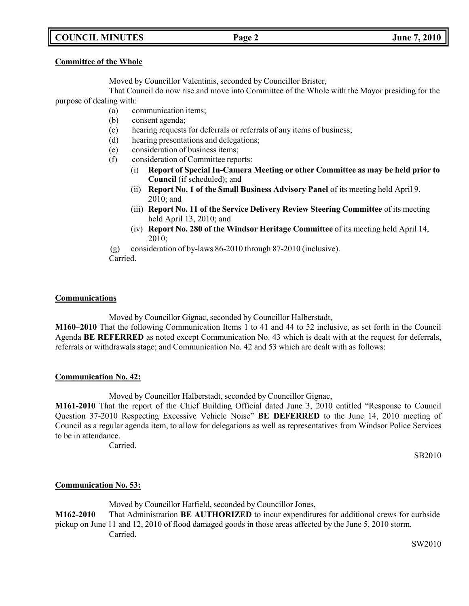## **COUNCIL MINUTES Page 2 June 7, 2010**

#### **Committee of the Whole**

Moved by Councillor Valentinis, seconded by Councillor Brister,

That Council do now rise and move into Committee of the Whole with the Mayor presiding for the purpose of dealing with:

- (a) communication items;
- (b) consent agenda;
- (c) hearing requests for deferrals or referrals of any items of business;
- (d) hearing presentations and delegations;
- (e) consideration of business items;
- (f) consideration of Committee reports:
	- (i) **Report of Special In-Camera Meeting or other Committee as may be held prior to Council** (if scheduled); and
	- (ii) **Report No. 1 of the Small Business Advisory Panel** of its meeting held April 9, 2010; and
	- (iii) **Report No. 11 of the Service Delivery Review Steering Committee** of its meeting held April 13, 2010; and
	- (iv) **Report No. 280 of the Windsor Heritage Committee** of its meeting held April 14, 2010;
- (g) consideration of by-laws 86-2010 through 87-2010 (inclusive).
- Carried.

### **Communications**

Moved by Councillor Gignac, seconded by Councillor Halberstadt,

**M160–2010** That the following Communication Items 1 to 41 and 44 to 52 inclusive, as set forth in the Council Agenda **BE REFERRED** as noted except Communication No. 43 which is dealt with at the request for deferrals, referrals or withdrawals stage; and Communication No. 42 and 53 which are dealt with as follows:

### **Communication No. 42:**

Moved by Councillor Halberstadt, seconded by Councillor Gignac,

**M161-2010** That the report of the Chief Building Official dated June 3, 2010 entitled "Response to Council Question 37-2010 Respecting Excessive Vehicle Noise" **BE DEFERRED** to the June 14, 2010 meeting of Council as a regular agenda item, to allow for delegations as well as representatives from Windsor Police Services to be in attendance.

Carried.

SB2010

## **Communication No. 53:**

Moved by Councillor Hatfield, seconded by Councillor Jones,

**M162-2010** That Administration **BE AUTHORIZED** to incur expenditures for additional crews for curbside pickup on June 11 and 12, 2010 of flood damaged goods in those areas affected by the June 5, 2010 storm. Carried.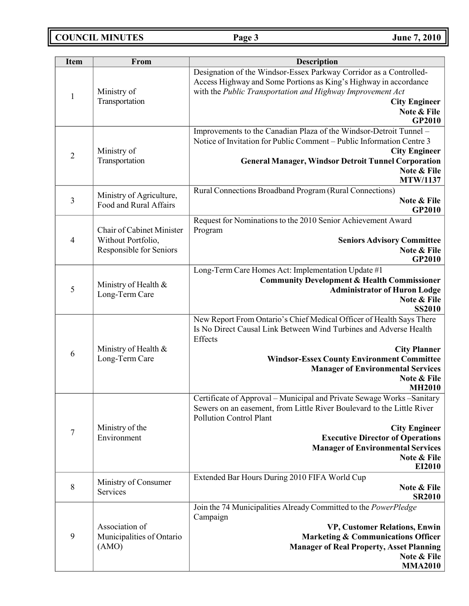**COUNCIL MINUTES Page 3 June 7, 2010**

| <b>Item</b>    | From                                                                              | <b>Description</b>                                                                                                                                                                                                                                                                                                          |
|----------------|-----------------------------------------------------------------------------------|-----------------------------------------------------------------------------------------------------------------------------------------------------------------------------------------------------------------------------------------------------------------------------------------------------------------------------|
| $\mathbf{1}$   | Ministry of<br>Transportation                                                     | Designation of the Windsor-Essex Parkway Corridor as a Controlled-<br>Access Highway and Some Portions as King's Highway in accordance<br>with the Public Transportation and Highway Improvement Act<br><b>City Engineer</b><br>Note & File<br><b>GP2010</b>                                                                |
| $\overline{2}$ | Ministry of<br>Transportation                                                     | Improvements to the Canadian Plaza of the Windsor-Detroit Tunnel -<br>Notice of Invitation for Public Comment – Public Information Centre 3<br><b>City Engineer</b><br><b>General Manager, Windsor Detroit Tunnel Corporation</b><br>Note & File<br><b>MTW/1137</b>                                                         |
| $\mathfrak{Z}$ | Ministry of Agriculture,<br>Food and Rural Affairs                                | Rural Connections Broadband Program (Rural Connections)<br>Note & File<br>GP2010                                                                                                                                                                                                                                            |
| 4              | <b>Chair of Cabinet Minister</b><br>Without Portfolio,<br>Responsible for Seniors | Request for Nominations to the 2010 Senior Achievement Award<br>Program<br><b>Seniors Advisory Committee</b><br>Note & File<br><b>GP2010</b>                                                                                                                                                                                |
| 5              | Ministry of Health &<br>Long-Term Care                                            | Long-Term Care Homes Act: Implementation Update #1<br><b>Community Development &amp; Health Commissioner</b><br><b>Administrator of Huron Lodge</b><br>Note & File<br><b>SS2010</b>                                                                                                                                         |
| 6              | Ministry of Health &<br>Long-Term Care                                            | New Report From Ontario's Chief Medical Officer of Health Says There<br>Is No Direct Causal Link Between Wind Turbines and Adverse Health<br>Effects<br><b>City Planner</b><br><b>Windsor-Essex County Environment Committee</b><br><b>Manager of Environmental Services</b><br>Note & File<br><b>MH2010</b>                |
| $\overline{7}$ | Ministry of the<br>Environment                                                    | Certificate of Approval - Municipal and Private Sewage Works - Sanitary<br>Sewers on an easement, from Little River Boulevard to the Little River<br><b>Pollution Control Plant</b><br><b>City Engineer</b><br><b>Executive Director of Operations</b><br><b>Manager of Environmental Services</b><br>Note & File<br>EI2010 |
| $\,8\,$        | Ministry of Consumer<br>Services                                                  | Extended Bar Hours During 2010 FIFA World Cup<br>Note & File<br><b>SR2010</b>                                                                                                                                                                                                                                               |
| 9              | Association of<br>Municipalities of Ontario<br>(AMO)                              | Join the 74 Municipalities Already Committed to the PowerPledge<br>Campaign<br>VP, Customer Relations, Enwin<br><b>Marketing &amp; Communications Officer</b><br><b>Manager of Real Property, Asset Planning</b><br>Note & File<br><b>MMA2010</b>                                                                           |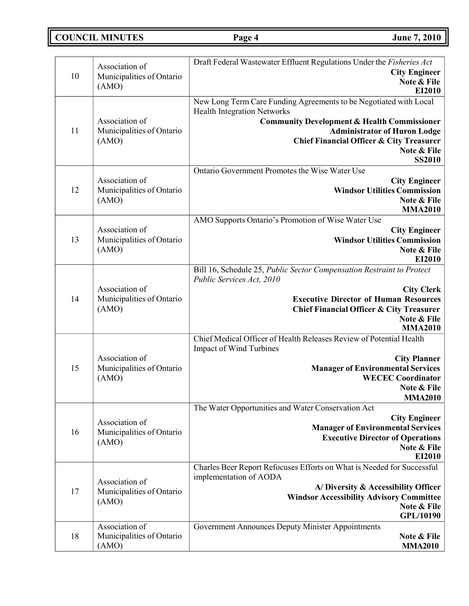**COUNCIL MINUTES Page 4 June 7, 2010**

| 10 | Association of<br>Municipalities of Ontario          | Draft Federal Wastewater Effluent Regulations Under the Fisheries Act<br><b>City Engineer</b><br>Note & File                                                                                                                                                    |
|----|------------------------------------------------------|-----------------------------------------------------------------------------------------------------------------------------------------------------------------------------------------------------------------------------------------------------------------|
|    | (AMO)                                                | EI2010<br>New Long Term Care Funding Agreements to be Negotiated with Local                                                                                                                                                                                     |
| 11 | Association of<br>Municipalities of Ontario<br>(AMO) | <b>Health Integration Networks</b><br><b>Community Development &amp; Health Commissioner</b><br><b>Administrator of Huron Lodge</b><br><b>Chief Financial Officer &amp; City Treasurer</b><br>Note & File<br><b>SS2010</b>                                      |
| 12 | Association of<br>Municipalities of Ontario<br>(AMO) | Ontario Government Promotes the Wise Water Use<br><b>City Engineer</b><br><b>Windsor Utilities Commission</b><br>Note & File<br><b>MMA2010</b>                                                                                                                  |
| 13 | Association of<br>Municipalities of Ontario<br>(AMO) | AMO Supports Ontario's Promotion of Wise Water Use<br><b>City Engineer</b><br><b>Windsor Utilities Commission</b><br>Note & File<br>EI2010                                                                                                                      |
| 14 | Association of<br>Municipalities of Ontario<br>(AMO) | Bill 16, Schedule 25, Public Sector Compensation Restraint to Protect<br>Public Services Act, 2010<br><b>City Clerk</b><br><b>Executive Director of Human Resources</b><br><b>Chief Financial Officer &amp; City Treasurer</b><br>Note & File<br><b>MMA2010</b> |
| 15 | Association of<br>Municipalities of Ontario<br>(AMO) | Chief Medical Officer of Health Releases Review of Potential Health<br>Impact of Wind Turbines<br><b>City Planner</b><br><b>Manager of Environmental Services</b><br><b>WECEC Coordinator</b><br>Note & File<br><b>MMA2010</b>                                  |
| 16 | Association of<br>Municipalities of Ontario<br>(AMO) | The Water Opportunities and Water Conservation Act<br><b>City Engineer</b><br><b>Manager of Environmental Services</b><br><b>Executive Director of Operations</b><br>Note & File<br>EI2010                                                                      |
| 17 | Association of<br>Municipalities of Ontario<br>(AMO) | Charles Beer Report Refocuses Efforts on What is Needed for Successful<br>implementation of AODA<br>A/Diversity & Accessibility Officer<br><b>Windsor Accessibility Advisory Committee</b><br>Note & File<br>GPL/10190                                          |
| 18 | Association of<br>Municipalities of Ontario<br>(AMO) | Government Announces Deputy Minister Appointments<br>Note & File<br><b>MMA2010</b>                                                                                                                                                                              |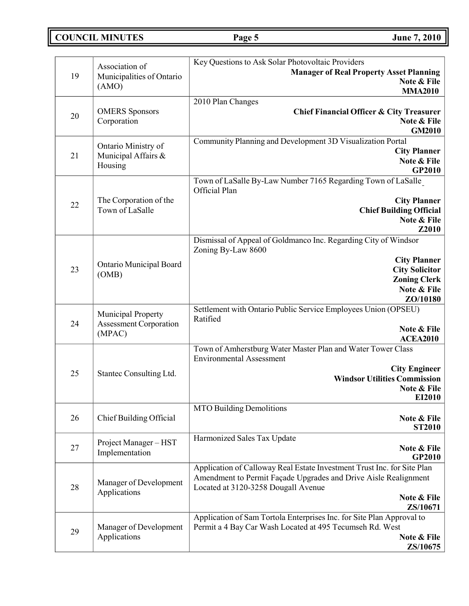**COUNCIL MINUTES Page 5 June 7, 2010**

| 19 | Association of<br>Municipalities of Ontario                   | Key Questions to Ask Solar Photovoltaic Providers<br><b>Manager of Real Property Asset Planning</b>                                                                                                          |
|----|---------------------------------------------------------------|--------------------------------------------------------------------------------------------------------------------------------------------------------------------------------------------------------------|
|    | (AMO)                                                         | Note & File<br><b>MMA2010</b>                                                                                                                                                                                |
| 20 | <b>OMERS</b> Sponsors<br>Corporation                          | 2010 Plan Changes<br><b>Chief Financial Officer &amp; City Treasurer</b><br>Note & File<br><b>GM2010</b>                                                                                                     |
| 21 | Ontario Ministry of<br>Municipal Affairs &<br>Housing         | Community Planning and Development 3D Visualization Portal<br><b>City Planner</b><br>Note & File<br>GP2010                                                                                                   |
| 22 | The Corporation of the<br>Town of LaSalle                     | Town of LaSalle By-Law Number 7165 Regarding Town of LaSalle<br>Official Plan<br><b>City Planner</b><br><b>Chief Building Official</b><br>Note & File<br>Z2010                                               |
| 23 | Ontario Municipal Board<br>(OMB)                              | Dismissal of Appeal of Goldmanco Inc. Regarding City of Windsor<br>Zoning By-Law 8600<br><b>City Planner</b><br><b>City Solicitor</b><br><b>Zoning Clerk</b><br>Note & File<br>ZO/10180                      |
| 24 | Municipal Property<br><b>Assessment Corporation</b><br>(MPAC) | Settlement with Ontario Public Service Employees Union (OPSEU)<br>Ratified<br>Note & File<br><b>ACEA2010</b>                                                                                                 |
| 25 | Stantec Consulting Ltd.                                       | Town of Amherstburg Water Master Plan and Water Tower Class<br><b>Environmental Assessment</b><br><b>City Engineer</b><br><b>Windsor Utilities Commission</b><br>Note & File<br>EI2010                       |
| 26 | Chief Building Official                                       | <b>MTO Building Demolitions</b><br>Note & File<br><b>ST2010</b>                                                                                                                                              |
| 27 | Project Manager-HST<br>Implementation                         | Harmonized Sales Tax Update<br>Note & File<br><b>GP2010</b>                                                                                                                                                  |
| 28 | Manager of Development<br>Applications                        | Application of Calloway Real Estate Investment Trust Inc. for Site Plan<br>Amendment to Permit Façade Upgrades and Drive Aisle Realignment<br>Located at 3120-3258 Dougall Avenue<br>Note & File<br>ZS/10671 |
| 29 | Manager of Development<br>Applications                        | Application of Sam Tortola Enterprises Inc. for Site Plan Approval to<br>Permit a 4 Bay Car Wash Located at 495 Tecumseh Rd. West<br>Note & File<br><b>ZS/10675</b>                                          |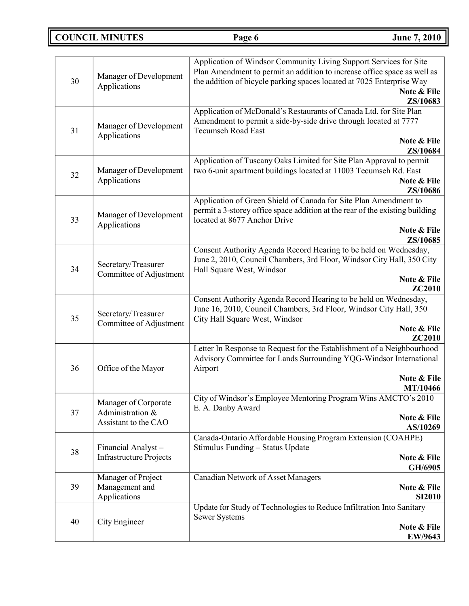# **COUNCIL MINUTES Page 6 June 7, 2010**

| 30 | Manager of Development<br>Applications                           | Application of Windsor Community Living Support Services for Site<br>Plan Amendment to permit an addition to increase office space as well as<br>the addition of bicycle parking spaces located at 7025 Enterprise Way<br>Note & File<br>ZS/10683 |
|----|------------------------------------------------------------------|---------------------------------------------------------------------------------------------------------------------------------------------------------------------------------------------------------------------------------------------------|
| 31 | Manager of Development<br>Applications                           | Application of McDonald's Restaurants of Canada Ltd. for Site Plan<br>Amendment to permit a side-by-side drive through located at 7777<br>Tecumseh Road East<br>Note & File<br>ZS/10684                                                           |
| 32 | Manager of Development<br>Applications                           | Application of Tuscany Oaks Limited for Site Plan Approval to permit<br>two 6-unit apartment buildings located at 11003 Tecumseh Rd. East<br>Note & File<br>ZS/10686                                                                              |
| 33 | Manager of Development<br>Applications                           | Application of Green Shield of Canada for Site Plan Amendment to<br>permit a 3-storey office space addition at the rear of the existing building<br>located at 8677 Anchor Drive<br>Note & File<br>ZS/10685                                       |
| 34 | Secretary/Treasurer<br>Committee of Adjustment                   | Consent Authority Agenda Record Hearing to be held on Wednesday,<br>June 2, 2010, Council Chambers, 3rd Floor, Windsor City Hall, 350 City<br>Hall Square West, Windsor<br>Note & File<br><b>ZC2010</b>                                           |
| 35 | Secretary/Treasurer<br>Committee of Adjustment                   | Consent Authority Agenda Record Hearing to be held on Wednesday,<br>June 16, 2010, Council Chambers, 3rd Floor, Windsor City Hall, 350<br>City Hall Square West, Windsor<br>Note & File<br>ZC2010                                                 |
| 36 | Office of the Mayor                                              | Letter In Response to Request for the Establishment of a Neighbourhood<br>Advisory Committee for Lands Surrounding YQG-Windsor International<br>Airport<br>Note & File<br><b>MT/10466</b>                                                         |
| 37 | Manager of Corporate<br>Administration &<br>Assistant to the CAO | City of Windsor's Employee Mentoring Program Wins AMCTO's 2010<br>E. A. Danby Award<br>Note & File<br>AS/10269                                                                                                                                    |
| 38 | Financial Analyst-<br><b>Infrastructure Projects</b>             | Canada-Ontario Affordable Housing Program Extension (COAHPE)<br>Stimulus Funding - Status Update<br>Note & File<br>GH/6905                                                                                                                        |
| 39 | Manager of Project<br>Management and<br>Applications             | <b>Canadian Network of Asset Managers</b><br>Note & File<br><b>SI2010</b>                                                                                                                                                                         |
| 40 | City Engineer                                                    | Update for Study of Technologies to Reduce Infiltration Into Sanitary<br><b>Sewer Systems</b><br>Note & File<br><b>EW/9643</b>                                                                                                                    |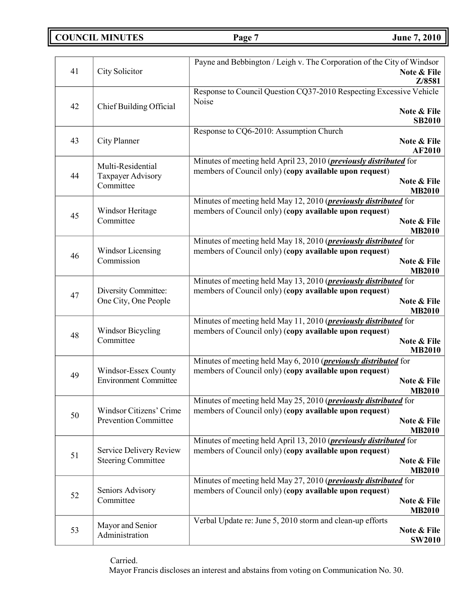**COUNCIL MINUTES Page 7 June 7, 2010**

|    |                              | Payne and Bebbington / Leigh v. The Corporation of the City of Windsor                                                               |                              |
|----|------------------------------|--------------------------------------------------------------------------------------------------------------------------------------|------------------------------|
| 41 | City Solicitor               |                                                                                                                                      | Note & File                  |
|    |                              |                                                                                                                                      | Z/8581                       |
|    |                              | Response to Council Question CQ37-2010 Respecting Excessive Vehicle<br>Noise                                                         |                              |
| 42 | Chief Building Official      |                                                                                                                                      | Note & File                  |
|    |                              |                                                                                                                                      | <b>SB2010</b>                |
|    |                              | Response to CQ6-2010: Assumption Church                                                                                              |                              |
| 43 | City Planner                 |                                                                                                                                      | Note & File                  |
|    |                              |                                                                                                                                      | <b>AF2010</b>                |
|    | Multi-Residential            | Minutes of meeting held April 23, 2010 ( <i>previously distributed</i> for<br>members of Council only) (copy available upon request) |                              |
| 44 | Taxpayer Advisory            |                                                                                                                                      | Note & File                  |
|    | Committee                    |                                                                                                                                      | <b>MB2010</b>                |
|    |                              | Minutes of meeting held May 12, 2010 ( <i>previously distributed</i> for                                                             |                              |
| 45 | Windsor Heritage             | members of Council only) (copy available upon request)                                                                               |                              |
|    | Committee                    |                                                                                                                                      | Note & File<br><b>MB2010</b> |
|    |                              | Minutes of meeting held May 18, 2010 ( <i>previously distributed</i> for                                                             |                              |
| 46 | <b>Windsor Licensing</b>     | members of Council only) (copy available upon request)                                                                               |                              |
|    | Commission                   |                                                                                                                                      | Note & File                  |
|    |                              |                                                                                                                                      | <b>MB2010</b>                |
|    | Diversity Committee:         | Minutes of meeting held May 13, 2010 ( <i>previously distributed</i> for<br>members of Council only) (copy available upon request)   |                              |
| 47 | One City, One People         |                                                                                                                                      | Note & File                  |
|    |                              |                                                                                                                                      | <b>MB2010</b>                |
|    |                              | Minutes of meeting held May 11, 2010 ( <i>previously distributed</i> for                                                             |                              |
| 48 | <b>Windsor Bicycling</b>     | members of Council only) (copy available upon request)                                                                               |                              |
|    | Committee                    |                                                                                                                                      | Note & File<br><b>MB2010</b> |
|    |                              | Minutes of meeting held May 6, 2010 (previously distributed for                                                                      |                              |
| 49 | Windsor-Essex County         | members of Council only) (copy available upon request)                                                                               |                              |
|    | <b>Environment Committee</b> |                                                                                                                                      | Note & File                  |
|    |                              |                                                                                                                                      | <b>MB2010</b>                |
|    | Windsor Citizens' Crime      | Minutes of meeting held May 25, 2010 ( <i>previously distributed</i> for<br>members of Council only) (copy available upon request)   |                              |
| 50 | <b>Prevention Committee</b>  |                                                                                                                                      | Note & File                  |
|    |                              |                                                                                                                                      | <b>MB2010</b>                |
|    |                              | Minutes of meeting held April 13, 2010 ( <i>previously distributed</i> for                                                           |                              |
| 51 | Service Delivery Review      | members of Council only) (copy available upon request)                                                                               |                              |
|    | <b>Steering Committee</b>    |                                                                                                                                      | Note & File<br><b>MB2010</b> |
|    |                              | Minutes of meeting held May 27, 2010 ( <i>previously distributed</i> for                                                             |                              |
|    | Seniors Advisory             | members of Council only) (copy available upon request)                                                                               |                              |
| 52 | Committee                    |                                                                                                                                      | Note & File                  |
|    |                              |                                                                                                                                      | <b>MB2010</b>                |
| 53 | Mayor and Senior             | Verbal Update re: June 5, 2010 storm and clean-up efforts                                                                            | Note & File                  |
|    | Administration               |                                                                                                                                      | <b>SW2010</b>                |

Carried.

Mayor Francis discloses an interest and abstains from voting on Communication No. 30.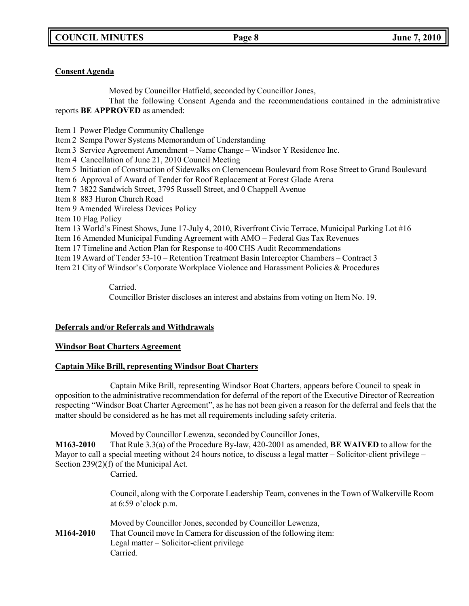## **Consent Agenda**

Moved by Councillor Hatfield, seconded by Councillor Jones,

That the following Consent Agenda and the recommendations contained in the administrative reports **BE APPROVED** as amended:

- Item 1 Power Pledge Community Challenge
- Item 2 Sempa Power Systems Memorandum of Understanding
- Item 3 Service Agreement Amendment Name Change Windsor Y Residence Inc.
- Item 4 Cancellation of June 21, 2010 Council Meeting
- Item 5 Initiation of Construction of Sidewalks on Clemenceau Boulevard from Rose Street to Grand Boulevard
- Item 6 Approval of Award of Tender for Roof Replacement at Forest Glade Arena
- Item 7 3822 Sandwich Street, 3795 Russell Street, and 0 Chappell Avenue
- Item 8 883 Huron Church Road
- Item 9 Amended Wireless Devices Policy
- Item 10 Flag Policy
- Item 13 World's Finest Shows, June 17-July 4, 2010, Riverfront Civic Terrace, Municipal Parking Lot #16
- Item 16 Amended Municipal Funding Agreement with AMO Federal Gas Tax Revenues
- Item 17 Timeline and Action Plan for Response to 400 CHS Audit Recommendations
- Item 19 Award of Tender 53-10 Retention Treatment Basin Interceptor Chambers Contract 3
- Item 21 City of Windsor's Corporate Workplace Violence and Harassment Policies & Procedures

## Carried.

Councillor Brister discloses an interest and abstains from voting on Item No. 19.

## **Deferrals and/or Referrals and Withdrawals**

## **Windsor Boat Charters Agreement**

## **Captain Mike Brill, representing Windsor Boat Charters**

Captain Mike Brill, representing Windsor Boat Charters, appears before Council to speak in opposition to the administrative recommendation for deferral of the report of the Executive Director of Recreation respecting "Windsor Boat Charter Agreement", as he has not been given a reason for the deferral and feels that the matter should be considered as he has met all requirements including safety criteria.

Moved by Councillor Lewenza, seconded by Councillor Jones,

**M163-2010** That Rule 3.3(a) of the Procedure By-law, 420-2001 as amended, **BE WAIVED** to allow for the Mayor to call a special meeting without 24 hours notice, to discuss a legal matter – Solicitor-client privilege – Section 239(2)(f) of the Municipal Act. Carried.

> Council, along with the Corporate Leadership Team, convenes in the Town of Walkerville Room at 6:59 o'clock p.m.

Moved by Councillor Jones, seconded by Councillor Lewenza, **M164-2010** That Council move In Camera for discussion of the following item: Legal matter – Solicitor-client privilege Carried.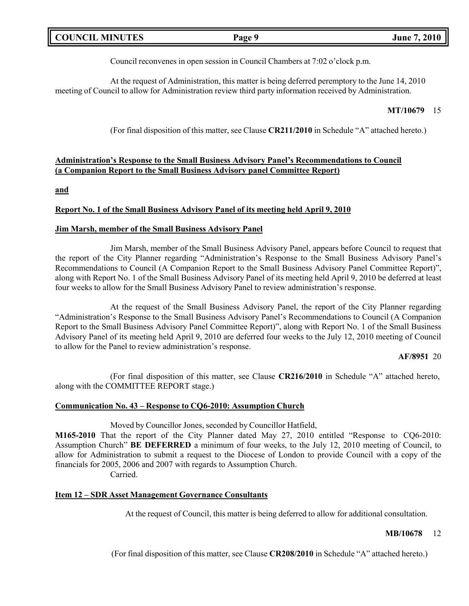| <b>COUNCIL MINUTES</b> | Page S | 2010<br>June $\lambda$ , $\lambda$ |
|------------------------|--------|------------------------------------|
|                        |        |                                    |

Council reconvenes in open session in Council Chambers at 7:02 o'clock p.m.

At the request of Administration, this matter is being deferred peremptory to the June 14, 2010 meeting of Council to allow for Administration review third party information received by Administration.

### **MT/10679** 15

(For final disposition of this matter, see Clause **CR211/2010** in Schedule "A" attached hereto.)

## **Administration's Response to the Small Business Advisory Panel's Recommendations to Council (a Companion Report to the Small Business Advisory panel Committee Report)**

**and**

## **Report No. 1 of the Small Business Advisory Panel of its meeting held April 9, 2010**

#### **Jim Marsh, member of the Small Business Advisory Panel**

Jim Marsh, member of the Small Business Advisory Panel, appears before Council to request that the report of the City Planner regarding "Administration's Response to the Small Business Advisory Panel's Recommendations to Council (A Companion Report to the Small Business Advisory Panel Committee Report)", along with Report No. 1 of the Small Business Advisory Panel of its meeting held April 9, 2010 be deferred at least four weeks to allow for the Small Business Advisory Panel to review administration's response.

At the request of the Small Business Advisory Panel, the report of the City Planner regarding "Administration's Response to the Small Business Advisory Panel's Recommendations to Council (A Companion Report to the Small Business Advisory Panel Committee Report)", along with Report No. 1 of the Small Business Advisory Panel of its meeting held April 9, 2010 are deferred four weeks to the July 12, 2010 meeting of Council to allow for the Panel to review administration's response.

#### **AF/8951** 20

(For final disposition of this matter, see Clause **CR216/2010** in Schedule "A" attached hereto, along with the COMMITTEE REPORT stage.)

#### **Communication No. 43 – Response to CQ6-2010: Assumption Church**

Moved by Councillor Jones, seconded by Councillor Hatfield,

**M165-2010** That the report of the City Planner dated May 27, 2010 entitled "Response to CQ6-2010: Assumption Church" **BE DEFERRED** a minimum of four weeks, to the July 12, 2010 meeting of Council, to allow for Administration to submit a request to the Diocese of London to provide Council with a copy of the financials for 2005, 2006 and 2007 with regards to Assumption Church.

Carried.

### **Item 12 – SDR Asset Management Governance Consultants**

At the request of Council, this matter is being deferred to allow for additional consultation.

#### **MB/10678** 12

(For final disposition of this matter, see Clause **CR208/2010** in Schedule "A" attached hereto.)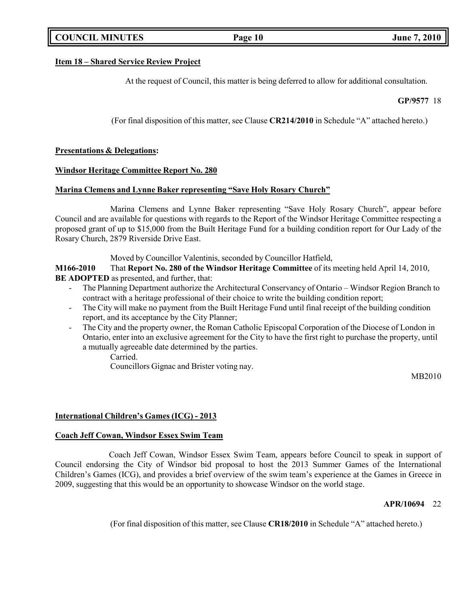## **COUNCIL MINUTES Page 10 June 7, 2010**

#### **Item 18 – Shared Service Review Project**

At the request of Council, this matter is being deferred to allow for additional consultation.

**GP/9577** 18

(For final disposition of this matter, see Clause **CR214/2010** in Schedule "A" attached hereto.)

#### **Presentations & Delegations:**

#### **Windsor Heritage Committee Report No. 280**

#### **Marina Clemens and Lynne Baker representing "Save Holy Rosary Church"**

Marina Clemens and Lynne Baker representing "Save Holy Rosary Church", appear before Council and are available for questions with regards to the Report of the Windsor Heritage Committee respecting a proposed grant of up to \$15,000 from the Built Heritage Fund for a building condition report for Our Lady of the Rosary Church, 2879 Riverside Drive East.

Moved by Councillor Valentinis, seconded by Councillor Hatfield,

**M166-2010** That **Report No. 280 of the Windsor Heritage Committee** of its meeting held April 14, 2010, **BE ADOPTED** as presented, and further, that:

- The Planning Department authorize the Architectural Conservancy of Ontario Windsor Region Branch to contract with a heritage professional of their choice to write the building condition report;
- The City will make no payment from the Built Heritage Fund until final receipt of the building condition report, and its acceptance by the City Planner;
- The City and the property owner, the Roman Catholic Episcopal Corporation of the Diocese of London in Ontario, enter into an exclusive agreement for the City to have the first right to purchase the property, until a mutually agreeable date determined by the parties.

Carried.

Councillors Gignac and Brister voting nay.

MB2010

### **International Children's Games (ICG) - 2013**

#### **Coach Jeff Cowan, Windsor Essex Swim Team**

Coach Jeff Cowan, Windsor Essex Swim Team, appears before Council to speak in support of Council endorsing the City of Windsor bid proposal to host the 2013 Summer Games of the International Children's Games (ICG), and provides a brief overview of the swim team's experience at the Games in Greece in 2009, suggesting that this would be an opportunity to showcase Windsor on the world stage.

#### **APR/10694** 22

(For final disposition of this matter, see Clause **CR18/2010** in Schedule "A" attached hereto.)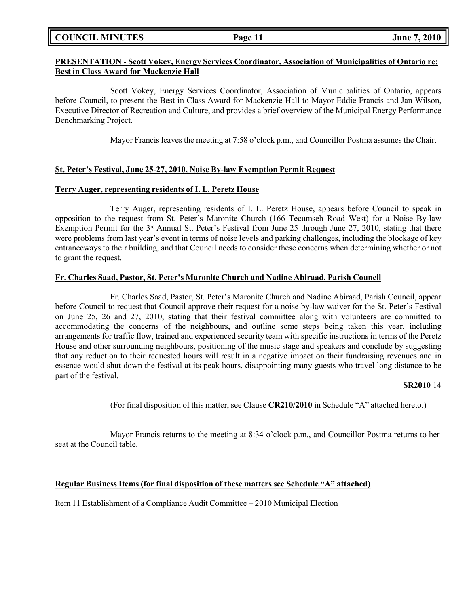**COUNCIL MINUTES Page 11 June 7, 2010**

## **PRESENTATION - Scott Vokey, Energy Services Coordinator, Association of Municipalities of Ontario re: Best in Class Award for Mackenzie Hall**

Scott Vokey, Energy Services Coordinator, Association of Municipalities of Ontario, appears before Council, to present the Best in Class Award for Mackenzie Hall to Mayor Eddie Francis and Jan Wilson, Executive Director of Recreation and Culture, and provides a brief overview of the Municipal Energy Performance Benchmarking Project.

Mayor Francis leaves the meeting at 7:58 o'clock p.m., and Councillor Postma assumes the Chair.

### **St. Peter's Festival, June 25-27, 2010, Noise By-law Exemption Permit Request**

### **Terry Auger, representing residents of I. L. Peretz House**

Terry Auger, representing residents of I. L. Peretz House, appears before Council to speak in opposition to the request from St. Peter's Maronite Church (166 Tecumseh Road West) for a Noise By-law Exemption Permit for the 3rd Annual St. Peter's Festival from June 25 through June 27, 2010, stating that there were problems from last year's event in terms of noise levels and parking challenges, including the blockage of key entranceways to their building, and that Council needs to consider these concerns when determining whether or not to grant the request.

## **Fr. Charles Saad, Pastor, St. Peter's Maronite Church and Nadine Abiraad, Parish Council**

Fr. Charles Saad, Pastor, St. Peter's Maronite Church and Nadine Abiraad, Parish Council, appear before Council to request that Council approve their request for a noise by-law waiver for the St. Peter's Festival on June 25, 26 and 27, 2010, stating that their festival committee along with volunteers are committed to accommodating the concerns of the neighbours, and outline some steps being taken this year, including arrangements for traffic flow, trained and experienced security team with specific instructions in terms of the Peretz House and other surrounding neighbours, positioning of the music stage and speakers and conclude by suggesting that any reduction to their requested hours will result in a negative impact on their fundraising revenues and in essence would shut down the festival at its peak hours, disappointing many guests who travel long distance to be part of the festival.

### **SR2010** 14

(For final disposition of this matter, see Clause **CR210/2010** in Schedule "A" attached hereto.)

Mayor Francis returns to the meeting at 8:34 o'clock p.m., and Councillor Postma returns to her seat at the Council table.

### **Regular Business Items (for final disposition of these matters see Schedule "A" attached)**

Item 11 Establishment of a Compliance Audit Committee – 2010 Municipal Election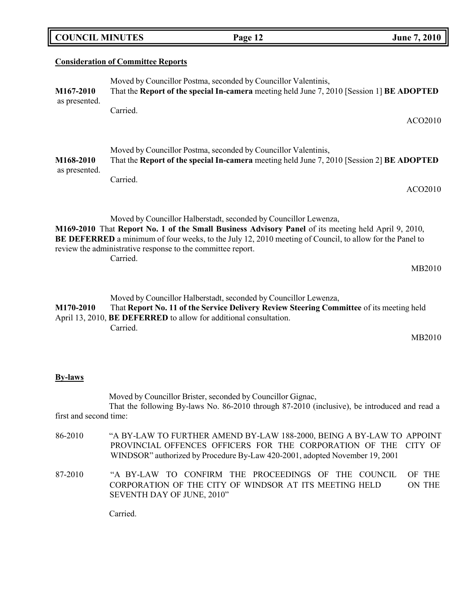| <b>COUNCIL MINUTES</b>     |                                           | Page 12                                                                                                                                                                                                                                                                                                                                           | <b>June 7, 2010</b> |
|----------------------------|-------------------------------------------|---------------------------------------------------------------------------------------------------------------------------------------------------------------------------------------------------------------------------------------------------------------------------------------------------------------------------------------------------|---------------------|
|                            | <b>Consideration of Committee Reports</b> |                                                                                                                                                                                                                                                                                                                                                   |                     |
| M167-2010                  |                                           | Moved by Councillor Postma, seconded by Councillor Valentinis,<br>That the Report of the special In-camera meeting held June 7, 2010 [Session 1] BE ADOPTED                                                                                                                                                                                       |                     |
| as presented.              | Carried.                                  |                                                                                                                                                                                                                                                                                                                                                   | ACO2010             |
| M168-2010<br>as presented. |                                           | Moved by Councillor Postma, seconded by Councillor Valentinis,<br>That the Report of the special In-camera meeting held June 7, 2010 [Session 2] BE ADOPTED                                                                                                                                                                                       |                     |
|                            | Carried.                                  |                                                                                                                                                                                                                                                                                                                                                   | ACO2010             |
|                            |                                           | Moved by Councillor Halberstadt, seconded by Councillor Lewenza,<br>M169-2010 That Report No. 1 of the Small Business Advisory Panel of its meeting held April 9, 2010,<br>BE DEFERRED a minimum of four weeks, to the July 12, 2010 meeting of Council, to allow for the Panel to<br>review the administrative response to the committee report. |                     |
|                            | Carried.                                  |                                                                                                                                                                                                                                                                                                                                                   | MB2010              |
| M170-2010                  |                                           | Moved by Councillor Halberstadt, seconded by Councillor Lewenza,<br>That Report No. 11 of the Service Delivery Review Steering Committee of its meeting held<br>April 13, 2010, <b>BE DEFERRED</b> to allow for additional consultation.                                                                                                          |                     |

Carried.

MB2010

### **By-laws**

Moved by Councillor Brister, seconded by Councillor Gignac, That the following By-laws No. 86-2010 through 87-2010 (inclusive), be introduced and read a first and second time:

- 86-2010 "A BY-LAW TO FURTHER AMEND BY-LAW 188-2000, BEING A BY-LAW TO APPOINT PROVINCIAL OFFENCES OFFICERS FOR THE CORPORATION OF THE CITY OF WINDSOR" authorized by Procedure By-Law 420-2001, adopted November 19, 2001
- 87-2010 "A BY-LAW TO CONFIRM THE PROCEEDINGS OF THE COUNCIL OF THE CORPORATION OF THE CITY OF WINDSOR AT ITS MEETING HELD SEVENTH DAY OF JUNE, 2010" ON THE

Carried.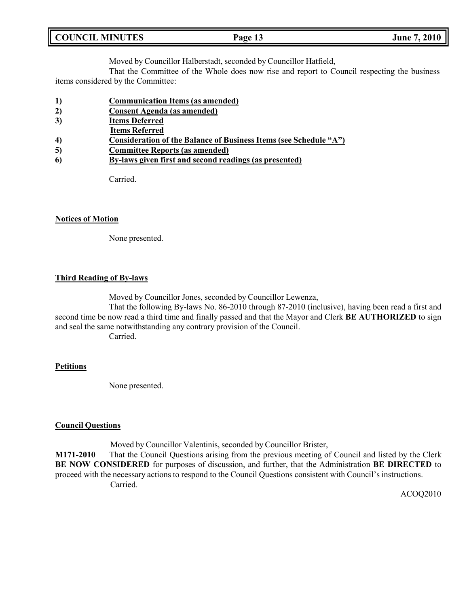| <b>COUNCIL MINUTES</b><br>Page 13 | <b>June 7, 2010</b> |
|-----------------------------------|---------------------|
|-----------------------------------|---------------------|

Moved by Councillor Halberstadt, seconded by Councillor Hatfield,

That the Committee of the Whole does now rise and report to Council respecting the business items considered by the Committee:

- **1) Communication Items (as amended)**
- **2) Consent Agenda (as amended)**
- **3) Items Deferred**
- **Items Referred**
- **4) Consideration of the Balance of Business Items (see Schedule "A")**
- **5) Committee Reports (as amended)**
- **6) By-laws given first and second readings (as presented)**

Carried.

#### **Notices of Motion**

None presented.

### **Third Reading of By-laws**

Moved by Councillor Jones, seconded by Councillor Lewenza,

That the following By-laws No. 86-2010 through 87-2010 (inclusive), having been read a first and second time be now read a third time and finally passed and that the Mayor and Clerk **BE AUTHORIZED** to sign and seal the same notwithstanding any contrary provision of the Council.

Carried.

### **Petitions**

None presented.

### **Council Questions**

Moved by Councillor Valentinis, seconded by Councillor Brister,

**M171-2010** That the Council Questions arising from the previous meeting of Council and listed by the Clerk **BE NOW CONSIDERED** for purposes of discussion, and further, that the Administration **BE DIRECTED** to proceed with the necessary actions to respond to the Council Questions consistent with Council's instructions. Carried.

ACOQ2010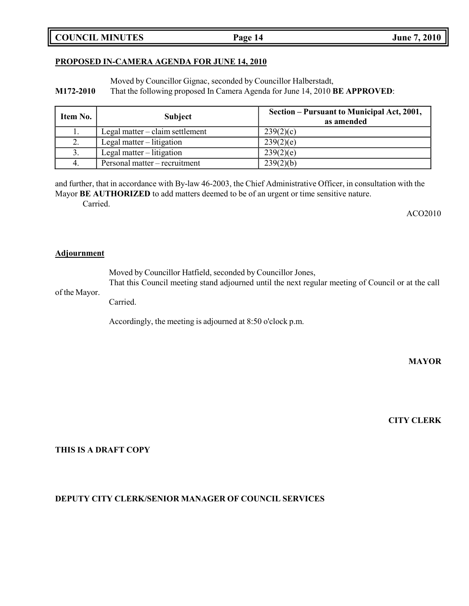**COUNCIL MINUTES Page 14 June 7, 2010**

### **PROPOSED IN-CAMERA AGENDA FOR JUNE 14, 2010**

Moved by Councillor Gignac, seconded by Councillor Halberstadt,

**M172-2010** That the following proposed In Camera Agenda for June 14, 2010 **BE APPROVED**:

| Item No. | <b>Subject</b>                    | Section – Pursuant to Municipal Act, 2001,<br>as amended |
|----------|-----------------------------------|----------------------------------------------------------|
| 1.       | Legal matter $-$ claim settlement | 239(2)(c)                                                |
| 2.       | Legal matter $-$ litigation       | 239(2)(e)                                                |
| 3.       | Legal matter $-$ litigation       | 239(2)(e)                                                |
| 4.       | Personal matter – recruitment     | 239(2)(b)                                                |

and further, that in accordance with By-law 46-2003, the Chief Administrative Officer, in consultation with the Mayor **BE AUTHORIZED** to add matters deemed to be of an urgent or time sensitive nature. Carried.

ACO2010

### **Adjournment**

Moved by Councillor Hatfield, seconded by Councillor Jones, That this Council meeting stand adjourned until the next regular meeting of Council or at the call

of the Mayor.

Carried.

Accordingly, the meeting is adjourned at 8:50 o'clock p.m.

**MAYOR**

**CITY CLERK**

## **THIS IS A DRAFT COPY**

## **DEPUTY CITY CLERK/SENIOR MANAGER OF COUNCIL SERVICES**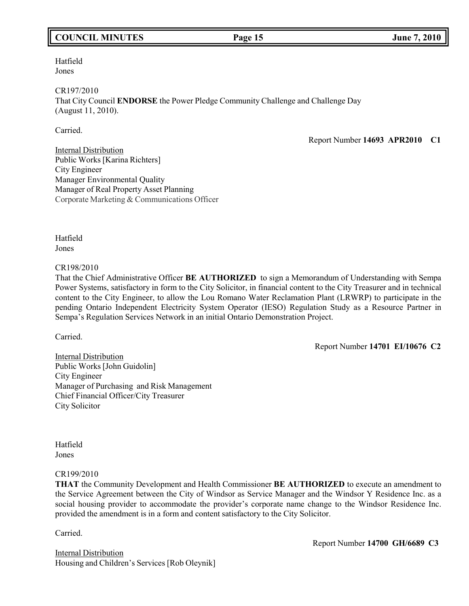## **COUNCIL MINUTES Page 15 June 7, 2010**

Hatfield Jones

CR197/2010 That City Council **ENDORSE** the Power Pledge Community Challenge and Challenge Day (August 11, 2010).

Carried.

Report Number **14693 APR2010 C1**

Internal Distribution Public Works [Karina Richters] City Engineer Manager Environmental Quality Manager of Real Property Asset Planning Corporate Marketing & Communications Officer

Hatfield Jones

CR198/2010

That the Chief Administrative Officer **BE AUTHORIZED** to sign a Memorandum of Understanding with Sempa Power Systems, satisfactory in form to the City Solicitor, in financial content to the City Treasurer and in technical content to the City Engineer, to allow the Lou Romano Water Reclamation Plant (LRWRP) to participate in the pending Ontario Independent Electricity System Operator (IESO) Regulation Study as a Resource Partner in Sempa's Regulation Services Network in an initial Ontario Demonstration Project.

Carried.

Report Number **14701 EI/10676 C2**

Internal Distribution Public Works [John Guidolin] City Engineer Manager of Purchasing and Risk Management Chief Financial Officer/City Treasurer City Solicitor

Hatfield Jones

#### CR199/2010

**THAT** the Community Development and Health Commissioner **BE AUTHORIZED** to execute an amendment to the Service Agreement between the City of Windsor as Service Manager and the Windsor Y Residence Inc. as a social housing provider to accommodate the provider's corporate name change to the Windsor Residence Inc. provided the amendment is in a form and content satisfactory to the City Solicitor.

Carried.

Internal Distribution Housing and Children's Services [Rob Oleynik] Report Number **14700 GH/6689 C3**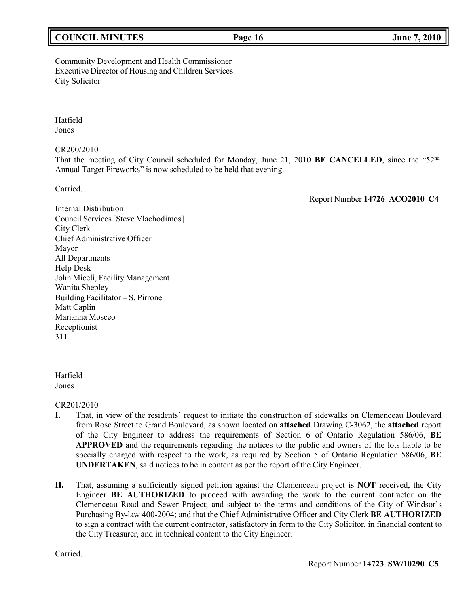## **COUNCIL MINUTES Page 16 June 7, 2010**

## Community Development and Health Commissioner Executive Director of Housing and Children Services City Solicitor

Hatfield Jones

CR200/2010

That the meeting of City Council scheduled for Monday, June 21, 2010 **BE CANCELLED**, since the "52nd Annual Target Fireworks" is now scheduled to be held that evening.

Carried.

Report Number **14726 ACO2010 C4**

Internal Distribution Council Services[Steve Vlachodimos] City Clerk Chief Administrative Officer Mayor All Departments Help Desk John Miceli, Facility Management Wanita Shepley Building Facilitator – S. Pirrone Matt Caplin Marianna Mosceo Receptionist 311

Hatfield Jones

CR201/2010

- **I.** That, in view of the residents' request to initiate the construction of sidewalks on Clemenceau Boulevard from Rose Street to Grand Boulevard, as shown located on **attached** Drawing C-3062, the **attached** report of the City Engineer to address the requirements of Section 6 of Ontario Regulation 586/06, **BE APPROVED** and the requirements regarding the notices to the public and owners of the lots liable to be specially charged with respect to the work, as required by Section 5 of Ontario Regulation 586/06, **BE UNDERTAKEN**, said notices to be in content as per the report of the City Engineer.
- **II.** That, assuming a sufficiently signed petition against the Clemenceau project is **NOT** received, the City Engineer **BE AUTHORIZED** to proceed with awarding the work to the current contractor on the Clemenceau Road and Sewer Project; and subject to the terms and conditions of the City of Windsor's Purchasing By-law 400-2004; and that the Chief Administrative Officer and City Clerk **BE AUTHORIZED** to sign a contract with the current contractor, satisfactory in form to the City Solicitor, in financial content to the City Treasurer, and in technical content to the City Engineer.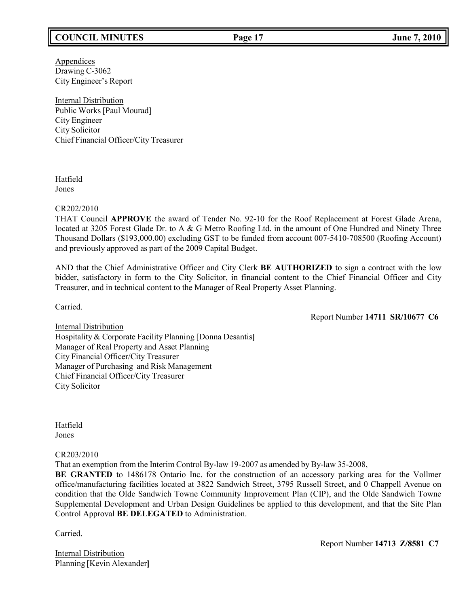## **COUNCIL MINUTES Page 17 June 7, 2010**

**Appendices** Drawing C-3062 City Engineer's Report

Internal Distribution Public Works [Paul Mourad] City Engineer City Solicitor Chief Financial Officer/City Treasurer

Hatfield Jones

#### CR202/2010

THAT Council **APPROVE** the award of Tender No. 92-10 for the Roof Replacement at Forest Glade Arena, located at 3205 Forest Glade Dr. to A & G Metro Roofing Ltd. in the amount of One Hundred and Ninety Three Thousand Dollars (\$193,000.00) excluding GST to be funded from account 007-5410-708500 (Roofing Account) and previously approved as part of the 2009 Capital Budget.

AND that the Chief Administrative Officer and City Clerk **BE AUTHORIZED** to sign a contract with the low bidder, satisfactory in form to the City Solicitor, in financial content to the Chief Financial Officer and City Treasurer, and in technical content to the Manager of Real Property Asset Planning.

Carried.

Report Number **14711 SR/10677 C6**

Internal Distribution Hospitality & Corporate Facility Planning [Donna Desantis**]** Manager of Real Property and Asset Planning City Financial Officer/City Treasurer Manager of Purchasing and Risk Management Chief Financial Officer/City Treasurer City Solicitor

Hatfield Jones

### CR203/2010

That an exemption from the Interim Control By-law 19-2007 as amended by By-law 35-2008,

**BE GRANTED** to 1486178 Ontario Inc. for the construction of an accessory parking area for the Vollmer office/manufacturing facilities located at 3822 Sandwich Street, 3795 Russell Street, and 0 Chappell Avenue on condition that the Olde Sandwich Towne Community Improvement Plan (CIP), and the Olde Sandwich Towne Supplemental Development and Urban Design Guidelines be applied to this development, and that the Site Plan Control Approval **BE DELEGATED** to Administration.

Carried.

Internal Distribution Planning [Kevin Alexander**]** Report Number **14713 Z/8581 C7**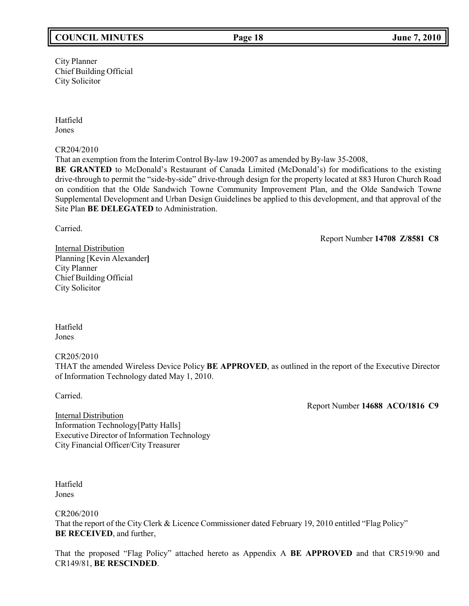## **COUNCIL MINUTES Page 18 June 7, 2010**

City Planner Chief Building Official City Solicitor

Hatfield Jones

CR204/2010

That an exemption from the Interim Control By-law 19-2007 as amended by By-law 35-2008, **BE GRANTED** to McDonald's Restaurant of Canada Limited (McDonald's) for modifications to the existing drive-through to permit the "side-by-side" drive-through design for the property located at 883 Huron Church Road on condition that the Olde Sandwich Towne Community Improvement Plan, and the Olde Sandwich Towne Supplemental Development and Urban Design Guidelines be applied to this development, and that approval of the Site Plan **BE DELEGATED** to Administration.

Carried.

Report Number **14708 Z/8581 C8**

Internal Distribution Planning [Kevin Alexander**]** City Planner Chief Building Official City Solicitor

Hatfield Jones

CR205/2010

THAT the amended Wireless Device Policy **BE APPROVED**, as outlined in the report of the Executive Director of Information Technology dated May 1, 2010.

Carried.

Report Number **14688 ACO/1816 C9**

Internal Distribution Information Technology[Patty Halls] Executive Director of Information Technology City Financial Officer/City Treasurer

Hatfield Jones

CR206/2010

That the report of the City Clerk & Licence Commissioner dated February 19, 2010 entitled "Flag Policy" **BE RECEIVED**, and further,

That the proposed "Flag Policy" attached hereto as Appendix A **BE APPROVED** and that CR519/90 and CR149/81, **BE RESCINDED**.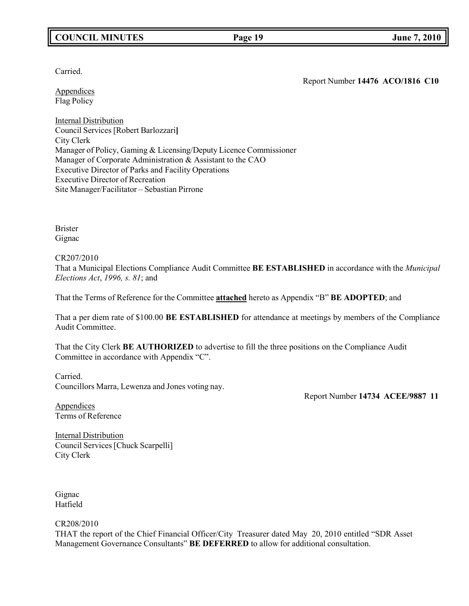## **COUNCIL MINUTES Page 19 June 7, 2010**

Carried.

Appendices Flag Policy

Report Number **14476 ACO/1816 C10**

Internal Distribution Council Services [Robert Barlozzari**]** City Clerk Manager of Policy, Gaming & Licensing/Deputy Licence Commissioner Manager of Corporate Administration & Assistant to the CAO Executive Director of Parks and Facility Operations Executive Director of Recreation Site Manager/Facilitator – Sebastian Pirrone

Brister Gignac

#### CR207/2010

That a Municipal Elections Compliance Audit Committee **BE ESTABLISHED** in accordance with the *Municipal Elections Act*, *1996, s. 81*; and

That the Terms of Reference for the Committee **attached** hereto as Appendix "B" **BE ADOPTED**; and

That a per diem rate of \$100.00 **BE ESTABLISHED** for attendance at meetings by members of the Compliance Audit Committee.

That the City Clerk **BE AUTHORIZED** to advertise to fill the three positions on the Compliance Audit Committee in accordance with Appendix "C".

Carried. Councillors Marra, Lewenza and Jones voting nay.

Report Number **14734 ACEE/9887 11**

Appendices Terms of Reference

Internal Distribution Council Services[Chuck Scarpelli] City Clerk

Gignac Hatfield

CR208/2010

THAT the report of the Chief Financial Officer/City Treasurer dated May 20, 2010 entitled "SDR Asset Management Governance Consultants" **BE DEFERRED** to allow for additional consultation.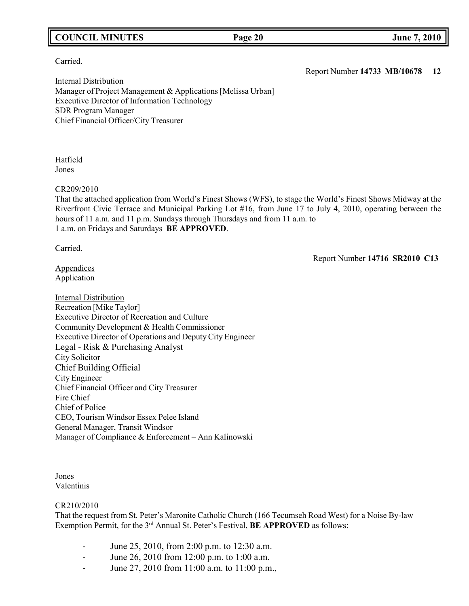## **COUNCIL MINUTES Page 20 June 7, 2010**

### Carried.

Internal Distribution Manager of Project Management & Applications [Melissa Urban] Executive Director of Information Technology SDR Program Manager Chief Financial Officer/City Treasurer

Hatfield Jones

CR209/2010

That the attached application from World's Finest Shows (WFS), to stage the World's Finest Shows Midway at the Riverfront Civic Terrace and Municipal Parking Lot #16, from June 17 to July 4, 2010, operating between the hours of 11 a.m. and 11 p.m. Sundays through Thursdays and from 11 a.m. to 1 a.m. on Fridays and Saturdays **BE APPROVED**.

Carried.

Report Number **14716 SR2010 C13**

Appendices Application

Internal Distribution Recreation [Mike Taylor] Executive Director of Recreation and Culture Community Development & Health Commissioner Executive Director of Operations and Deputy City Engineer Legal - Risk & Purchasing Analyst City Solicitor Chief Building Official City Engineer Chief Financial Officer and City Treasurer Fire Chief Chief of Police CEO, Tourism Windsor Essex Pelee Island General Manager, Transit Windsor Manager of Compliance & Enforcement – Ann Kalinowski

Jones Valentinis

### CR210/2010

That the request from St. Peter's Maronite Catholic Church (166 Tecumseh Road West) for a Noise By-law Exemption Permit, for the 3<sup>rd</sup> Annual St. Peter's Festival, **BE APPROVED** as follows:

- June 25, 2010, from 2:00 p.m. to 12:30 a.m.
- June 26, 2010 from 12:00 p.m. to 1:00 a.m.
- June 27, 2010 from 11:00 a.m. to 11:00 p.m.,

Report Number **14733 MB/10678 12**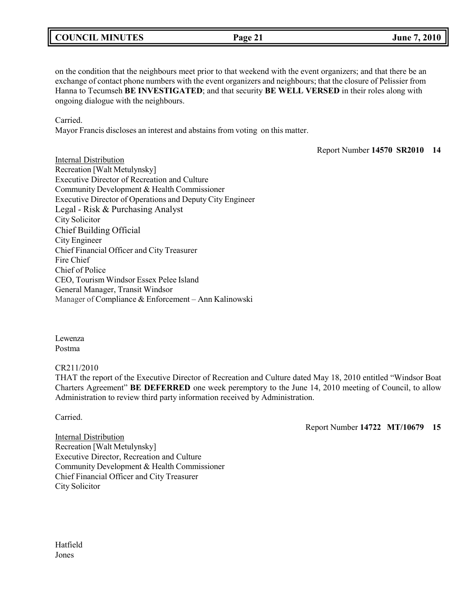## **COUNCIL MINUTES Page 21 June 7, 2010**

on the condition that the neighbours meet prior to that weekend with the event organizers; and that there be an exchange of contact phone numbers with the event organizers and neighbours; that the closure of Pelissier from Hanna to Tecumseh **BE INVESTIGATED**; and that security **BE WELL VERSED** in their roles along with ongoing dialogue with the neighbours.

Carried.

Mayor Francis discloses an interest and abstains from voting on this matter.

Report Number **14570 SR2010 14**

**Internal Distribution** Recreation [Walt Metulynsky] Executive Director of Recreation and Culture Community Development & Health Commissioner Executive Director of Operations and Deputy City Engineer Legal - Risk & Purchasing Analyst City Solicitor Chief Building Official City Engineer Chief Financial Officer and City Treasurer Fire Chief Chief of Police CEO, Tourism Windsor Essex Pelee Island General Manager, Transit Windsor Manager of Compliance & Enforcement – Ann Kalinowski

Lewenza Postma

#### CR211/2010

THAT the report of the Executive Director of Recreation and Culture dated May 18, 2010 entitled "Windsor Boat Charters Agreement" **BE DEFERRED** one week peremptory to the June 14, 2010 meeting of Council, to allow Administration to review third party information received by Administration.

Carried.

Report Number **14722 MT/10679 15**

Internal Distribution Recreation [Walt Metulynsky] Executive Director, Recreation and Culture Community Development & Health Commissioner Chief Financial Officer and City Treasurer City Solicitor

Hatfield Jones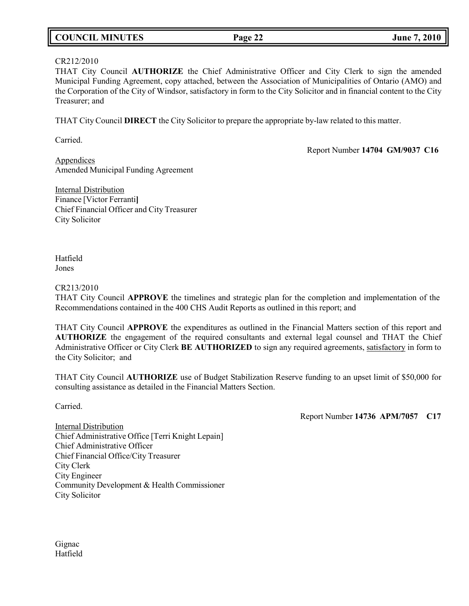# **COUNCIL MINUTES Page 22 June 7, 2010**

#### CR212/2010

THAT City Council **AUTHORIZE** the Chief Administrative Officer and City Clerk to sign the amended Municipal Funding Agreement, copy attached, between the Association of Municipalities of Ontario (AMO) and the Corporation of the City of Windsor, satisfactory in form to the City Solicitor and in financial content to the City Treasurer; and

THAT City Council **DIRECT** the City Solicitor to prepare the appropriate by-law related to this matter.

Carried.

Report Number **14704 GM/9037 C16**

**Appendices** Amended Municipal Funding Agreement

Internal Distribution Finance [Victor Ferranti**]** Chief Financial Officer and City Treasurer City Solicitor

Hatfield Jones

#### CR213/2010

THAT City Council **APPROVE** the timelines and strategic plan for the completion and implementation of the Recommendations contained in the 400 CHS Audit Reports as outlined in this report; and

THAT City Council **APPROVE** the expenditures as outlined in the Financial Matters section of this report and **AUTHORIZE** the engagement of the required consultants and external legal counsel and THAT the Chief Administrative Officer or City Clerk **BE AUTHORIZED** to sign any required agreements, satisfactory in form to the City Solicitor; and

THAT City Council **AUTHORIZE** use of Budget Stabilization Reserve funding to an upset limit of \$50,000 for consulting assistance as detailed in the Financial Matters Section.

Carried.

Report Number **14736 APM/7057 C17**

Internal Distribution Chief Administrative Office [Terri Knight Lepain] Chief Administrative Officer Chief Financial Office/City Treasurer City Clerk City Engineer Community Development & Health Commissioner City Solicitor

Gignac Hatfield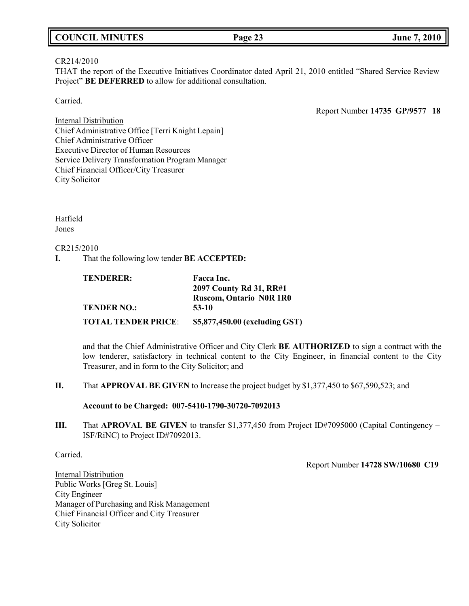| <b>COUNCIL MINUTES</b> | Page 23 | <b>June 7, 2010</b> |
|------------------------|---------|---------------------|
|------------------------|---------|---------------------|

#### CR214/2010

THAT the report of the Executive Initiatives Coordinator dated April 21, 2010 entitled "Shared Service Review Project" **BE DEFERRED** to allow for additional consultation.

Carried.

Report Number **14735 GP/9577 18**

Internal Distribution Chief Administrative Office [Terri Knight Lepain] Chief Administrative Officer Executive Director of Human Resources Service Delivery Transformation Program Manager Chief Financial Officer/City Treasurer City Solicitor

Hatfield Jones

### CR215/2010

**I.** That the following low tender **BE ACCEPTED:**

| <b>TENDERER:</b>           | Facca Inc.                     |
|----------------------------|--------------------------------|
|                            | 2097 County Rd 31, RR#1        |
|                            | <b>Ruscom, Ontario NOR 1R0</b> |
| <b>TENDER NO.:</b>         | $53-10$                        |
| <b>TOTAL TENDER PRICE:</b> | \$5,877,450.00 (excluding GST) |

and that the Chief Administrative Officer and City Clerk **BE AUTHORIZED** to sign a contract with the low tenderer, satisfactory in technical content to the City Engineer, in financial content to the City Treasurer, and in form to the City Solicitor; and

**II.** That **APPROVAL BE GIVEN** to Increase the project budget by \$1,377,450 to \$67,590,523; and

#### **Account to be Charged: 007-5410-1790-30720-7092013**

**III.** That **APROVAL BE GIVEN** to transfer \$1,377,450 from Project ID#7095000 (Capital Contingency – ISF/RiNC) to Project ID#7092013.

Carried.

Report Number **14728 SW/10680 C19**

Internal Distribution Public Works [Greg St. Louis] City Engineer Manager of Purchasing and Risk Management Chief Financial Officer and City Treasurer City Solicitor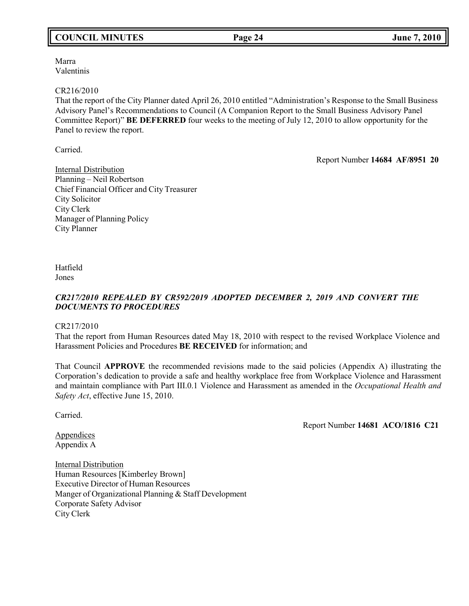## **COUNCIL MINUTES Page 24 June 7, 2010**

Marra Valentinis

#### CR216/2010

That the report of the City Planner dated April 26, 2010 entitled "Administration's Response to the Small Business Advisory Panel's Recommendations to Council (A Companion Report to the Small Business Advisory Panel Committee Report)" **BE DEFERRED** four weeks to the meeting of July 12, 2010 to allow opportunity for the Panel to review the report.

Carried.

Report Number **14684 AF/8951 20**

Internal Distribution Planning – Neil Robertson Chief Financial Officer and City Treasurer City Solicitor City Clerk Manager of Planning Policy City Planner

Hatfield Jones

## *CR217/2010 REPEALED BY CR592/2019 ADOPTED DECEMBER 2, 2019 AND CONVERT THE DOCUMENTS TO PROCEDURES*

CR217/2010

That the report from Human Resources dated May 18, 2010 with respect to the revised Workplace Violence and Harassment Policies and Procedures **BE RECEIVED** for information; and

That Council **APPROVE** the recommended revisions made to the said policies (Appendix A) illustrating the Corporation's dedication to provide a safe and healthy workplace free from Workplace Violence and Harassment and maintain compliance with Part III.0.1 Violence and Harassment as amended in the *Occupational Health and Safety Act*, effective June 15, 2010.

Carried.

Report Number **14681 ACO/1816 C21**

**Appendices** Appendix A

Internal Distribution Human Resources [Kimberley Brown] Executive Director of Human Resources Manger of Organizational Planning & Staff Development Corporate Safety Advisor City Clerk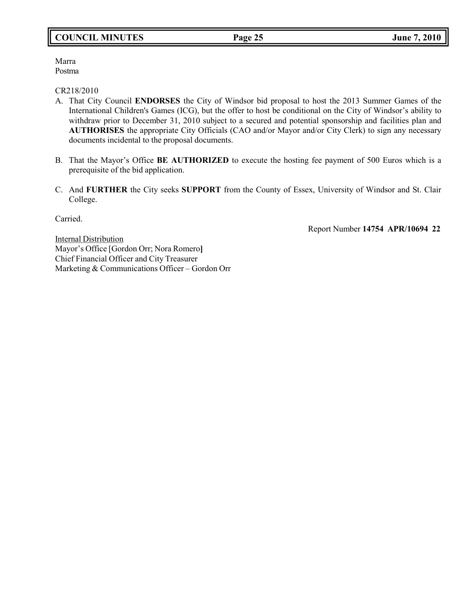## **COUNCIL MINUTES Page 25 June 7, 2010**

Marra Postma

CR218/2010

- A. That City Council **ENDORSES** the City of Windsor bid proposal to host the 2013 Summer Games of the International Children's Games (ICG), but the offer to host be conditional on the City of Windsor's ability to withdraw prior to December 31, 2010 subject to a secured and potential sponsorship and facilities plan and **AUTHORISES** the appropriate City Officials (CAO and/or Mayor and/or City Clerk) to sign any necessary documents incidental to the proposal documents.
- B. That the Mayor's Office **BE AUTHORIZED** to execute the hosting fee payment of 500 Euros which is a prerequisite of the bid application.
- C. And **FURTHER** the City seeks **SUPPORT** from the County of Essex, University of Windsor and St. Clair College.

Carried.

Report Number **14754 APR/10694 22**

**Internal Distribution** Mayor's Office [Gordon Orr; Nora Romero**]** Chief Financial Officer and City Treasurer Marketing & Communications Officer – Gordon Orr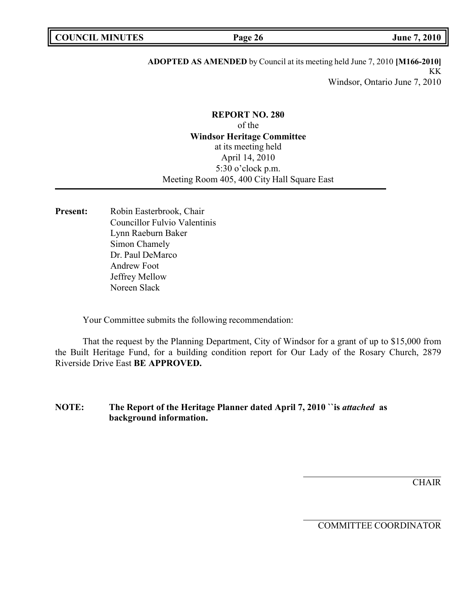## **ADOPTED AS AMENDED** by Council at its meeting held June 7, 2010 **[M166-2010]** KK Windsor, Ontario June 7, 2010

## **REPORT NO. 280** of the **Windsor Heritage Committee** at its meeting held April 14, 2010 5:30 o'clock p.m. Meeting Room 405, 400 City Hall Square East

**Present:** Robin Easterbrook, Chair Councillor Fulvio Valentinis Lynn Raeburn Baker Simon Chamely Dr. Paul DeMarco Andrew Foot Jeffrey Mellow Noreen Slack

Your Committee submits the following recommendation:

That the request by the Planning Department, City of Windsor for a grant of up to \$15,000 from the Built Heritage Fund, for a building condition report for Our Lady of the Rosary Church, 2879 Riverside Drive East **BE APPROVED.**

## **NOTE: The Report of the Heritage Planner dated April 7, 2010 ``is** *attached* **as background information.**

**CHAIR** 

COMMITTEE COORDINATOR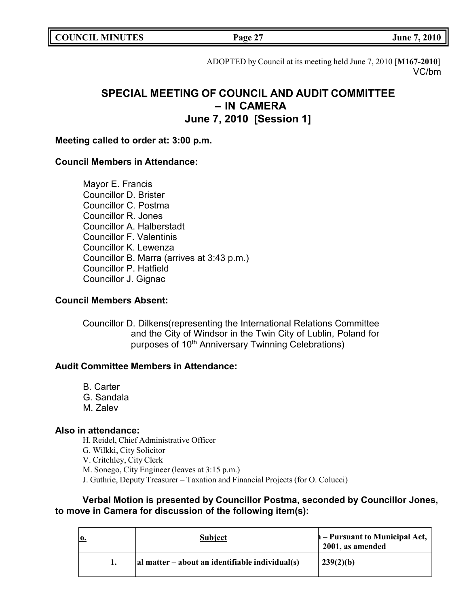|  | <b>COUNCIL MINUTES</b> |
|--|------------------------|
|--|------------------------|

**COUNCIL EXECUTE:** FOR **LIGATION COUNCIL EXECUTE:**  $\frac{1}{2}$  **June** 7, 2010

ADOPTED by Council at its meeting held June 7, 2010 [**M167-2010**] VC/bm

# **SPECIAL MEETING OF COUNCIL AND AUDIT COMMITTEE – IN CAMERA June 7, 2010 [Session 1]**

## **Meeting called to order at: 3:00 p.m.**

## **Council Members in Attendance:**

Mayor E. Francis Councillor D. Brister Councillor C. Postma Councillor R. Jones Councillor A. Halberstadt Councillor F. Valentinis Councillor K. Lewenza Councillor B. Marra (arrives at 3:43 p.m.) Councillor P. Hatfield Councillor J. Gignac

## **Council Members Absent:**

Councillor D. Dilkens(representing the International Relations Committee and the City of Windsor in the Twin City of Lublin, Poland for purposes of 10<sup>th</sup> Anniversary Twinning Celebrations)

## **Audit Committee Members in Attendance:**

- B. Carter
- G. Sandala
- M. Zalev

## **Also in attendance:**

H. Reidel, Chief Administrative Officer G. Wilkki, City Solicitor V. Critchley, City Clerk M. Sonego, City Engineer (leaves at 3:15 p.m.) J. Guthrie, Deputy Treasurer – Taxation and Financial Projects (for O. Colucci)

## **Verbal Motion is presented by Councillor Postma, seconded by Councillor Jones, to move in Camera for discussion of the following item(s):**

| <b>Subject</b>                                  | $\mathbf{h}$ – Pursuant to Municipal Act,<br>2001, as amended |
|-------------------------------------------------|---------------------------------------------------------------|
| al matter – about an identifiable individual(s) | 239(2)(b)                                                     |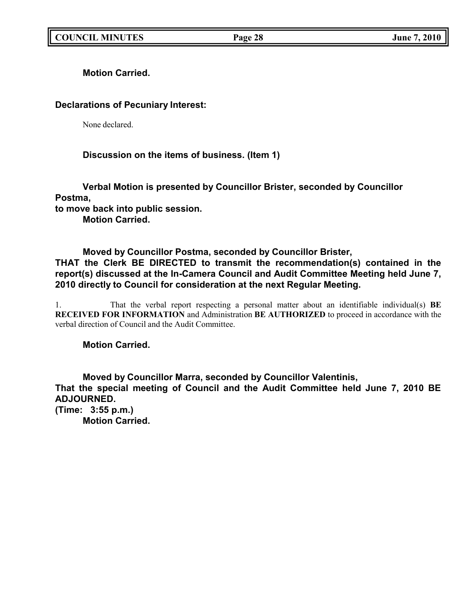**Motion Carried.**

## **Declarations of Pecuniary Interest:**

None declared.

## **Discussion on the items of business. (Item 1)**

**Verbal Motion is presented by Councillor Brister, seconded by Councillor Postma,**

**to move back into public session.**

**Motion Carried.**

## **Moved by Councillor Postma, seconded by Councillor Brister,**

**THAT the Clerk BE DIRECTED to transmit the recommendation(s) contained in the report(s) discussed at the In-Camera Council and Audit Committee Meeting held June 7, 2010 directly to Council for consideration at the next Regular Meeting.**

1. That the verbal report respecting a personal matter about an identifiable individual(s) **BE RECEIVED FOR INFORMATION** and Administration **BE AUTHORIZED** to proceed in accordance with the verbal direction of Council and the Audit Committee.

## **Motion Carried.**

**Moved by Councillor Marra, seconded by Councillor Valentinis, That the special meeting of Council and the Audit Committee held June 7, 2010 BE ADJOURNED.**

**(Time: 3:55 p.m.) Motion Carried.**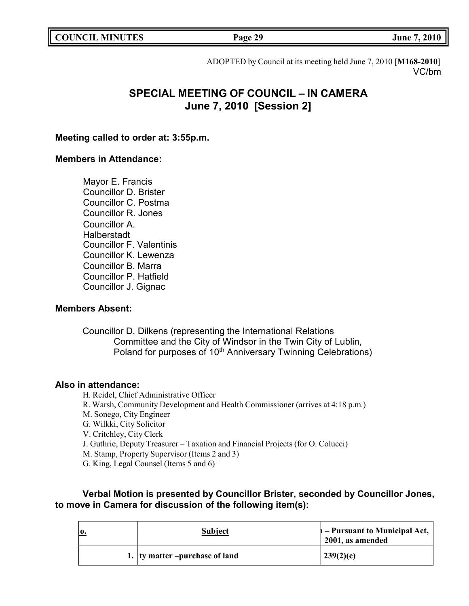|  | <b>COUNCIL MINUTES</b> |
|--|------------------------|
|--|------------------------|

**COUNCIL MINUTES Page 29 June 7, 2010**

ADOPTED by Council at its meeting held June 7, 2010 [**M168-2010**] VC/bm

# **SPECIAL MEETING OF COUNCIL – IN CAMERA June 7, 2010 [Session 2]**

## **Meeting called to order at: 3:55p.m.**

## **Members in Attendance:**

Mayor E. Francis Councillor D. Brister Councillor C. Postma Councillor R. Jones Councillor A. Halberstadt Councillor F. Valentinis Councillor K. Lewenza Councillor B. Marra Councillor P. Hatfield Councillor J. Gignac

## **Members Absent:**

Councillor D. Dilkens (representing the International Relations Committee and the City of Windsor in the Twin City of Lublin, Poland for purposes of 10<sup>th</sup> Anniversary Twinning Celebrations)

### **Also in attendance:**

H. Reidel, Chief Administrative Officer R. Warsh, Community Development and Health Commissioner (arrives at 4:18 p.m.) M. Sonego, City Engineer G. Wilkki, City Solicitor V. Critchley, City Clerk J. Guthrie, Deputy Treasurer – Taxation and Financial Projects (for O. Colucci) M. Stamp, Property Supervisor (Items 2 and 3) G. King, Legal Counsel (Items 5 and 6)

## **Verbal Motion is presented by Councillor Brister, seconded by Councillor Jones, to move in Camera for discussion of the following item(s):**

| 0. | <b>Subject</b>                  | h – Pursuant to Municipal Act,<br>2001, as amended |
|----|---------------------------------|----------------------------------------------------|
|    | 1. Ity matter –purchase of land | 239(2)(c)                                          |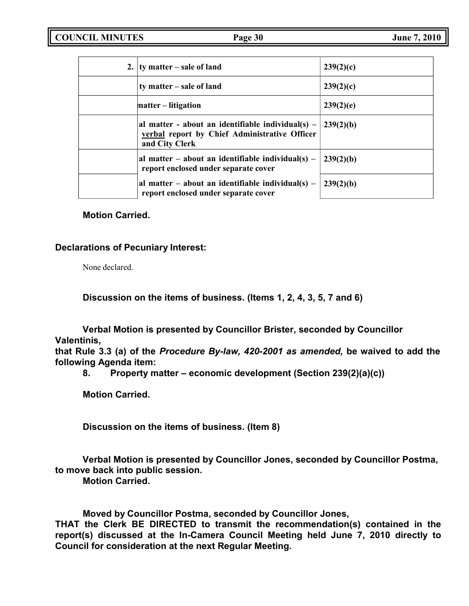| 2. $\vert$ ty matter – sale of land                                                                                    | 239(2)(c) |
|------------------------------------------------------------------------------------------------------------------------|-----------|
| ty matter – sale of land                                                                                               | 239(2)(c) |
| matter – litigation                                                                                                    | 239(2)(e) |
| al matter - about an identifiable individual(s) $-$<br>verbal report by Chief Administrative Officer<br>and City Clerk | 239(2)(b) |
| al matter – about an identifiable individual(s) –<br>report enclosed under separate cover                              | 239(2)(b) |
| al matter – about an identifiable individual(s) –<br>report enclosed under separate cover                              | 239(2)(b) |

## **Motion Carried.**

## **Declarations of Pecuniary Interest:**

None declared.

**Discussion on the items of business. (Items 1, 2, 4, 3, 5, 7 and 6)**

**Verbal Motion is presented by Councillor Brister, seconded by Councillor Valentinis,**

**that Rule 3.3 (a) of the** *Procedure By-law, 420-2001 as amended,* **be waived to add the following Agenda item:**

**8. Property matter – economic development (Section 239(2)(a)(c))**

**Motion Carried.**

**Discussion on the items of business. (Item 8)**

**Verbal Motion is presented by Councillor Jones, seconded by Councillor Postma, to move back into public session.**

**Motion Carried.**

**Moved by Councillor Postma, seconded by Councillor Jones,**

**THAT the Clerk BE DIRECTED to transmit the recommendation(s) contained in the report(s) discussed at the In-Camera Council Meeting held June 7, 2010 directly to Council for consideration at the next Regular Meeting.**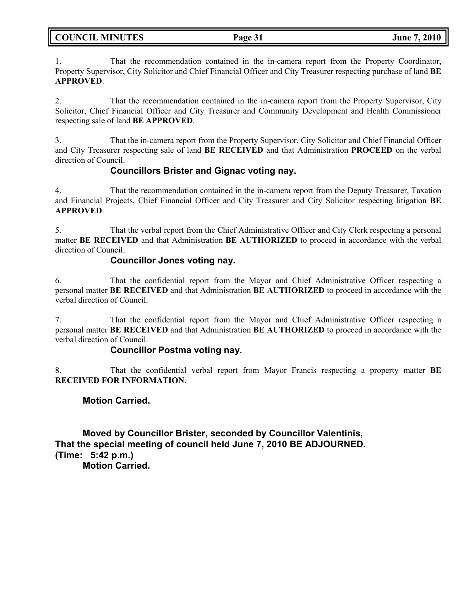| <b>COUNCIL MINUTES</b> |  |
|------------------------|--|
|------------------------|--|

1. That the recommendation contained in the in-camera report from the Property Coordinator, Property Supervisor, City Solicitor and Chief Financial Officer and City Treasurer respecting purchase of land **BE APPROVED**.

2. That the recommendation contained in the in-camera report from the Property Supervisor, City Solicitor, Chief Financial Officer and City Treasurer and Community Development and Health Commissioner respecting sale of land **BE APPROVED**.

3. That the in-camera report from the Property Supervisor, City Solicitor and Chief Financial Officer and City Treasurer respecting sale of land **BE RECEIVED** and that Administration **PROCEED** on the verbal direction of Council.

## **Councillors Brister and Gignac voting nay.**

4. That the recommendation contained in the in-camera report from the Deputy Treasurer, Taxation and Financial Projects, Chief Financial Officer and City Treasurer and City Solicitor respecting litigation **BE APPROVED**.

5. That the verbal report from the Chief Administrative Officer and City Clerk respecting a personal matter **BE RECEIVED** and that Administration **BE AUTHORIZED** to proceed in accordance with the verbal direction of Council.

## **Councillor Jones voting nay.**

6. That the confidential report from the Mayor and Chief Administrative Officer respecting a personal matter **BE RECEIVED** and that Administration **BE AUTHORIZED** to proceed in accordance with the verbal direction of Council.

7. That the confidential report from the Mayor and Chief Administrative Officer respecting a personal matter **BE RECEIVED** and that Administration **BE AUTHORIZED** to proceed in accordance with the verbal direction of Council.

## **Councillor Postma voting nay.**

8. That the confidential verbal report from Mayor Francis respecting a property matter **BE RECEIVED FOR INFORMATION**.

## **Motion Carried.**

**Moved by Councillor Brister, seconded by Councillor Valentinis, That the special meeting of council held June 7, 2010 BE ADJOURNED. (Time: 5:42 p.m.) Motion Carried.**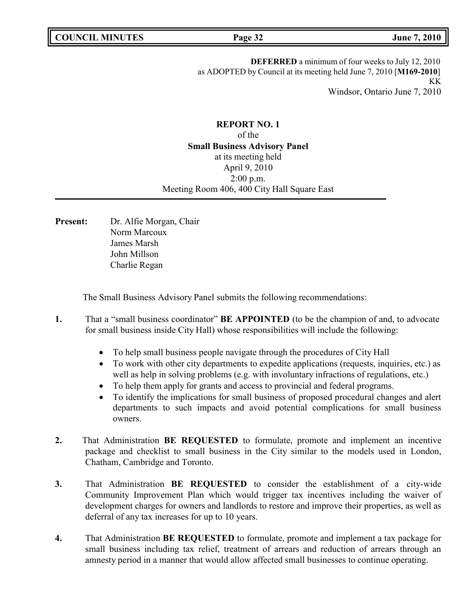**DEFERRED** a minimum of four weeks to July 12, 2010 as ADOPTED by Council at its meeting held June 7, 2010 [**M169-2010**] KK Windsor, Ontario June 7, 2010

## **REPORT NO. 1** of the **Small Business Advisory Panel** at its meeting held April 9, 2010 2:00 p.m. Meeting Room 406, 400 City Hall Square East

**Present:** Dr. Alfie Morgan, Chair Norm Marcoux James Marsh John Millson Charlie Regan

The Small Business Advisory Panel submits the following recommendations:

- **1.** That a "small business coordinator" **BE APPOINTED** (to be the champion of and, to advocate for small business inside City Hall) whose responsibilities will include the following:
	- To help small business people navigate through the procedures of City Hall
	- To work with other city departments to expedite applications (requests, inquiries, etc.) as well as help in solving problems (e.g. with involuntary infractions of regulations, etc.)
	- To help them apply for grants and access to provincial and federal programs.
	- To identify the implications for small business of proposed procedural changes and alert departments to such impacts and avoid potential complications for small business owners.
- **2.** That Administration **BE REQUESTED** to formulate, promote and implement an incentive package and checklist to small business in the City similar to the models used in London, Chatham, Cambridge and Toronto.
- **3.** That Administration **BE REQUESTED** to consider the establishment of a city-wide Community Improvement Plan which would trigger tax incentives including the waiver of development charges for owners and landlords to restore and improve their properties, as well as deferral of any tax increases for up to 10 years.
- **4.** That Administration **BE REQUESTED** to formulate, promote and implement a tax package for small business including tax relief, treatment of arrears and reduction of arrears through an amnesty period in a manner that would allow affected small businesses to continue operating.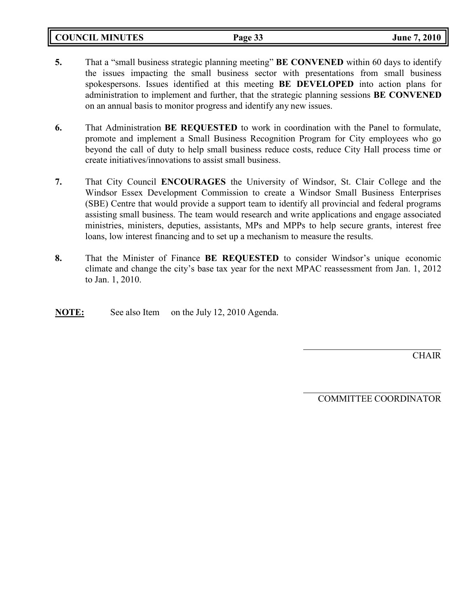**COUNCIL MINUTES Page 33 June 7, 2010**

- **5.** That a "small business strategic planning meeting" **BE CONVENED** within 60 days to identify the issues impacting the small business sector with presentations from small business spokespersons. Issues identified at this meeting **BE DEVELOPED** into action plans for administration to implement and further, that the strategic planning sessions **BE CONVENED** on an annual basis to monitor progress and identify any new issues.
- **6.** That Administration **BE REQUESTED** to work in coordination with the Panel to formulate, promote and implement a Small Business Recognition Program for City employees who go beyond the call of duty to help small business reduce costs, reduce City Hall process time or create initiatives/innovations to assist small business.
- **7.** That City Council **ENCOURAGES** the University of Windsor, St. Clair College and the Windsor Essex Development Commission to create a Windsor Small Business Enterprises (SBE) Centre that would provide a support team to identify all provincial and federal programs assisting small business. The team would research and write applications and engage associated ministries, ministers, deputies, assistants, MPs and MPPs to help secure grants, interest free loans, low interest financing and to set up a mechanism to measure the results.
- **8.** That the Minister of Finance **BE REQUESTED** to consider Windsor's unique economic climate and change the city's base tax year for the next MPAC reassessment from Jan. 1, 2012 to Jan. 1, 2010.

**NOTE:** See also Item on the July 12, 2010 Agenda.

CHAIR

COMMITTEE COORDINATOR